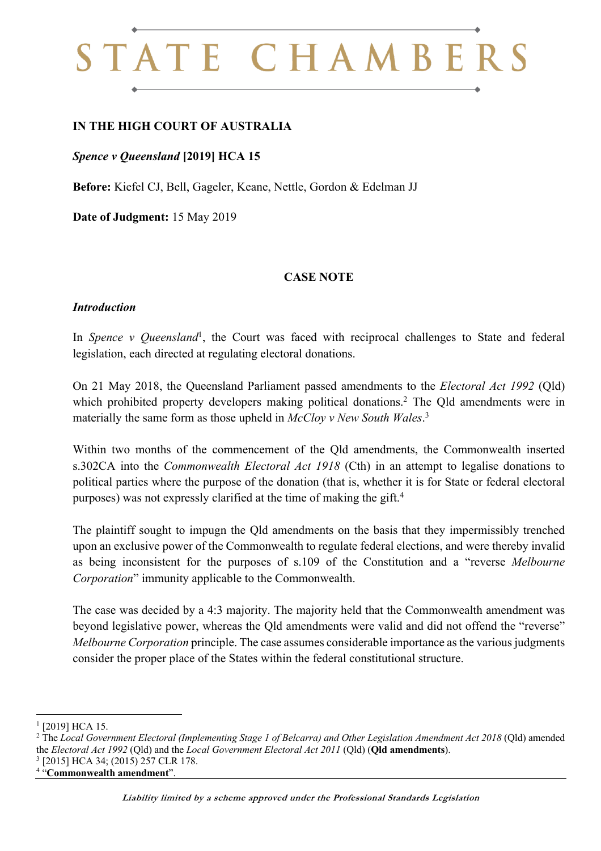# STATE CHAMBERS

## **IN THE HIGH COURT OF AUSTRALIA**

### *Spence v Queensland* **[2019] HCA 15**

**Before:** Kiefel CJ, Bell, Gageler, Keane, Nettle, Gordon & Edelman JJ

**Date of Judgment:** 15 May 2019

#### **CASE NOTE**

#### *Introduction*

In *Spence v Queensland*<sup>1</sup>, the Court was faced with reciprocal challenges to State and federal legislation, each directed at regulating electoral donations.

On 21 May 2018, the Queensland Parliament passed amendments to the *Electoral Act 1992* (Qld) which prohibited property developers making political donations.<sup>2</sup> The Qld amendments were in materially the same form as those upheld in *McCloy v New South Wales*. 3

Within two months of the commencement of the Qld amendments, the Commonwealth inserted s.302CA into the *Commonwealth Electoral Act 1918* (Cth) in an attempt to legalise donations to political parties where the purpose of the donation (that is, whether it is for State or federal electoral purposes) was not expressly clarified at the time of making the gift.4

The plaintiff sought to impugn the Qld amendments on the basis that they impermissibly trenched upon an exclusive power of the Commonwealth to regulate federal elections, and were thereby invalid as being inconsistent for the purposes of s.109 of the Constitution and a "reverse *Melbourne Corporation*" immunity applicable to the Commonwealth.

The case was decided by a 4:3 majority. The majority held that the Commonwealth amendment was beyond legislative power, whereas the Qld amendments were valid and did not offend the "reverse" *Melbourne Corporation* principle. The case assumes considerable importance as the various judgments consider the proper place of the States within the federal constitutional structure.

 $1$  [2019] HCA 15.

<sup>&</sup>lt;sup>2</sup> The *Local Government Electoral (Implementing Stage 1 of Belcarra) and Other Legislation Amendment Act 2018 (Qld)* amended the *Electoral Act 1992* (Qld) and the *Local Government Electoral Act 2011* (Qld) (**Qld amendments**).

<sup>[2015]</sup> HCA 34; (2015) 257 CLR 178.

<sup>4</sup> "**Commonwealth amendment**".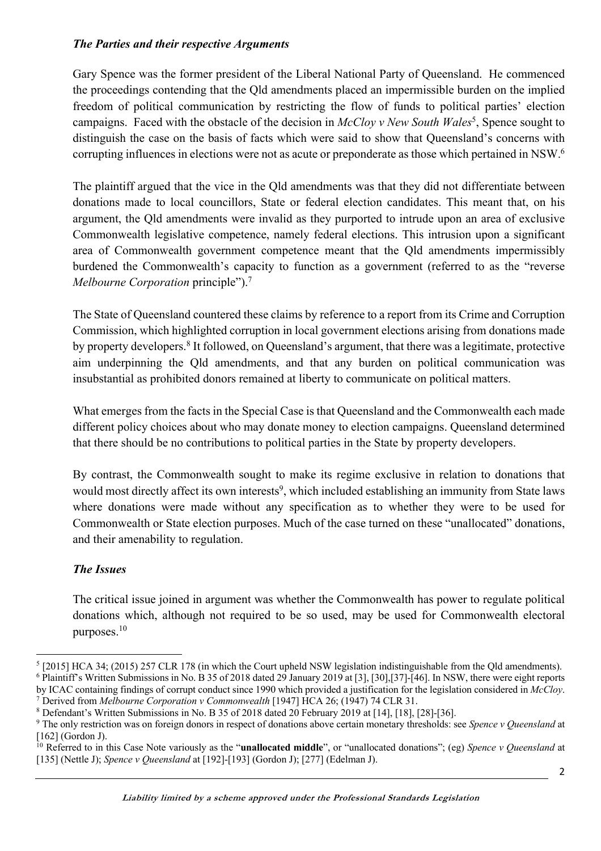### *The Parties and their respective Arguments*

Gary Spence was the former president of the Liberal National Party of Queensland. He commenced the proceedings contending that the Qld amendments placed an impermissible burden on the implied freedom of political communication by restricting the flow of funds to political parties' election campaigns. Faced with the obstacle of the decision in *McCloy v New South Wales*<sup>5</sup>, Spence sought to distinguish the case on the basis of facts which were said to show that Queensland's concerns with corrupting influences in elections were not as acute or preponderate as those which pertained in NSW.<sup>6</sup>

The plaintiff argued that the vice in the Qld amendments was that they did not differentiate between donations made to local councillors, State or federal election candidates. This meant that, on his argument, the Qld amendments were invalid as they purported to intrude upon an area of exclusive Commonwealth legislative competence, namely federal elections. This intrusion upon a significant area of Commonwealth government competence meant that the Qld amendments impermissibly burdened the Commonwealth's capacity to function as a government (referred to as the "reverse *Melbourne Corporation* principle").7

The State of Queensland countered these claims by reference to a report from its Crime and Corruption Commission, which highlighted corruption in local government elections arising from donations made by property developers.8 It followed, on Queensland's argument, that there was a legitimate, protective aim underpinning the Qld amendments, and that any burden on political communication was insubstantial as prohibited donors remained at liberty to communicate on political matters.

What emerges from the facts in the Special Case is that Queensland and the Commonwealth each made different policy choices about who may donate money to election campaigns. Queensland determined that there should be no contributions to political parties in the State by property developers.

By contrast, the Commonwealth sought to make its regime exclusive in relation to donations that would most directly affect its own interests<sup>9</sup>, which included establishing an immunity from State laws where donations were made without any specification as to whether they were to be used for Commonwealth or State election purposes. Much of the case turned on these "unallocated" donations, and their amenability to regulation.

## *The Issues*

The critical issue joined in argument was whether the Commonwealth has power to regulate political donations which, although not required to be so used, may be used for Commonwealth electoral purposes.<sup>10</sup>

 $5$  [2015] HCA 34; (2015) 257 CLR 178 (in which the Court upheld NSW legislation indistinguishable from the Old amendments). <sup>6</sup> Plaintiff's Written Submissions in No. B 35 of 2018 dated 29 January 2019 at [3], [30],[37]-[46]. In NSW, there were eight reports by ICAC containing findings of corrupt conduct since 1990 which provided a justification for the legislation considered in *McCloy*. <sup>7</sup> Derived from *Melbourne Corporation v Commonwealth* [1947] HCA 26; (1947) 74 CLR 31.

<sup>8</sup> Defendant's Written Submissions in No. B 35 of 2018 dated 20 February 2019 at [14], [18], [28]-[36].

<sup>9</sup> The only restriction was on foreign donors in respect of donations above certain monetary thresholds: see *Spence v Queensland* at [162] (Gordon J).

<sup>10</sup> Referred to in this Case Note variously as the "**unallocated middle**", or "unallocated donations"; (eg) *Spence v Queensland* at [135] (Nettle J); *Spence v Queensland* at [192]-[193] (Gordon J); [277] (Edelman J).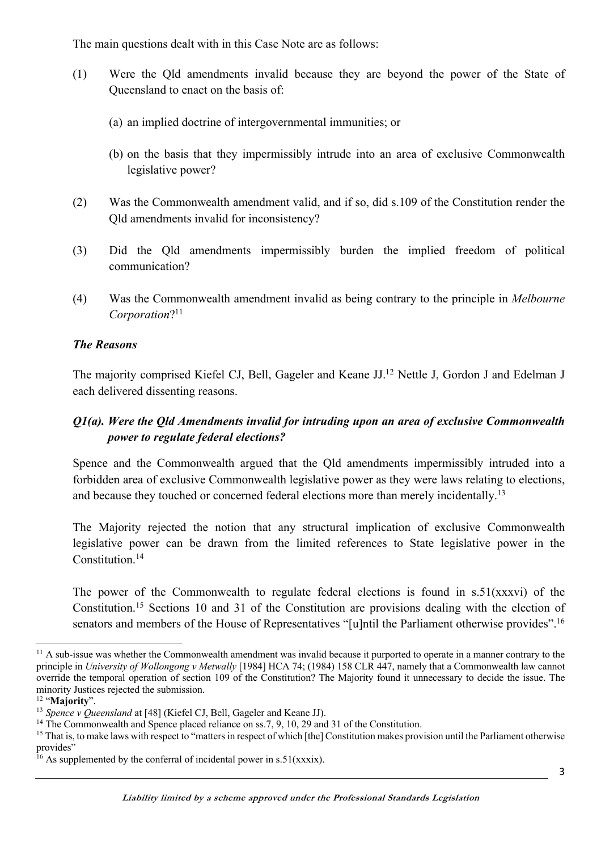The main questions dealt with in this Case Note are as follows:

- (1) Were the Qld amendments invalid because they are beyond the power of the State of Queensland to enact on the basis of:
	- (a) an implied doctrine of intergovernmental immunities; or
	- (b) on the basis that they impermissibly intrude into an area of exclusive Commonwealth legislative power?
- (2) Was the Commonwealth amendment valid, and if so, did s.109 of the Constitution render the Qld amendments invalid for inconsistency?
- (3) Did the Qld amendments impermissibly burden the implied freedom of political communication?
- (4) Was the Commonwealth amendment invalid as being contrary to the principle in *Melbourne Corporation*?11

## *The Reasons*

The majority comprised Kiefel CJ, Bell, Gageler and Keane JJ.12 Nettle J, Gordon J and Edelman J each delivered dissenting reasons.

## *Q1(a). Were the Qld Amendments invalid for intruding upon an area of exclusive Commonwealth power to regulate federal elections?*

Spence and the Commonwealth argued that the Qld amendments impermissibly intruded into a forbidden area of exclusive Commonwealth legislative power as they were laws relating to elections, and because they touched or concerned federal elections more than merely incidentally.<sup>13</sup>

The Majority rejected the notion that any structural implication of exclusive Commonwealth legislative power can be drawn from the limited references to State legislative power in the Constitution.14

The power of the Commonwealth to regulate federal elections is found in s.51(xxxvi) of the Constitution.15 Sections 10 and 31 of the Constitution are provisions dealing with the election of senators and members of the House of Representatives "[u]ntil the Parliament otherwise provides".<sup>16</sup>

<sup>&</sup>lt;sup>11</sup> A sub-issue was whether the Commonwealth amendment was invalid because it purported to operate in a manner contrary to the principle in *University of Wollongong v Metwally* [1984] HCA 74; (1984) 158 CLR 447, namely that a Commonwealth law cannot override the temporal operation of section 109 of the Constitution? The Majority found it unnecessary to decide the issue. The minority Justices rejected the submission.

<sup>12</sup> "**Majority**".

<sup>&</sup>lt;sup>13</sup> Spence v Queensland at [48] (Kiefel CJ, Bell, Gageler and Keane JJ).

<sup>&</sup>lt;sup>14</sup> The Commonwealth and Spence placed reliance on ss.7, 9, 10, 29 and 31 of the Constitution.

<sup>&</sup>lt;sup>15</sup> That is, to make laws with respect to "matters in respect of which [the] Constitution makes provision until the Parliament otherwise provides"

<sup>&</sup>lt;sup>16</sup> As supplemented by the conferral of incidental power in s.51(xxxix).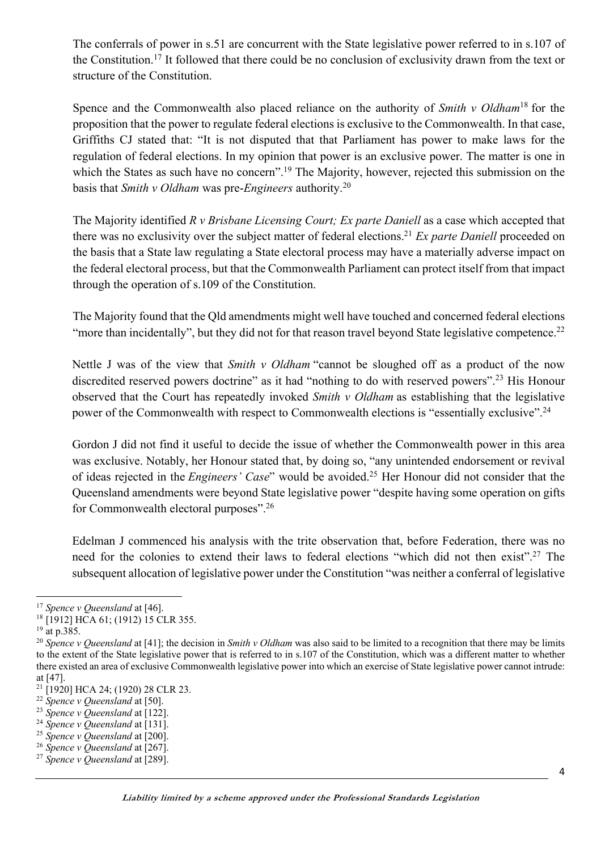The conferrals of power in s.51 are concurrent with the State legislative power referred to in s.107 of the Constitution.17 It followed that there could be no conclusion of exclusivity drawn from the text or structure of the Constitution.

Spence and the Commonwealth also placed reliance on the authority of *Smith v Oldham*<sup>18</sup> for the proposition that the power to regulate federal elections is exclusive to the Commonwealth. In that case, Griffiths CJ stated that: "It is not disputed that that Parliament has power to make laws for the regulation of federal elections. In my opinion that power is an exclusive power. The matter is one in which the States as such have no concern".<sup>19</sup> The Majority, however, rejected this submission on the basis that *Smith v Oldham* was pre-*Engineers* authority.20

The Majority identified *R v Brisbane Licensing Court; Ex parte Daniell* as a case which accepted that there was no exclusivity over the subject matter of federal elections.21 *Ex parte Daniell* proceeded on the basis that a State law regulating a State electoral process may have a materially adverse impact on the federal electoral process, but that the Commonwealth Parliament can protect itself from that impact through the operation of s.109 of the Constitution.

The Majority found that the Qld amendments might well have touched and concerned federal elections "more than incidentally", but they did not for that reason travel beyond State legislative competence.<sup>22</sup>

Nettle J was of the view that *Smith v Oldham* "cannot be sloughed off as a product of the now discredited reserved powers doctrine" as it had "nothing to do with reserved powers".23 His Honour observed that the Court has repeatedly invoked *Smith v Oldham* as establishing that the legislative power of the Commonwealth with respect to Commonwealth elections is "essentially exclusive".<sup>24</sup>

Gordon J did not find it useful to decide the issue of whether the Commonwealth power in this area was exclusive. Notably, her Honour stated that, by doing so, "any unintended endorsement or revival of ideas rejected in the *Engineers' Case*" would be avoided.25 Her Honour did not consider that the Queensland amendments were beyond State legislative power "despite having some operation on gifts for Commonwealth electoral purposes".26

Edelman J commenced his analysis with the trite observation that, before Federation, there was no need for the colonies to extend their laws to federal elections "which did not then exist". <sup>27</sup> The subsequent allocation of legislative power under the Constitution "was neither a conferral of legislative

<sup>17</sup> *Spence v Queensland* at [46].

<sup>&</sup>lt;sup>18</sup> [1912] HCA 61; (1912) 15 CLR 355.

 $19$  at p.385.

<sup>&</sup>lt;sup>20</sup> Spence v Queensland at [41]; the decision in *Smith v Oldham* was also said to be limited to a recognition that there may be limits to the extent of the State legislative power that is referred to in s.107 of the Constitution, which was a different matter to whether there existed an area of exclusive Commonwealth legislative power into which an exercise of State legislative power cannot intrude: at [47].

<sup>&</sup>lt;sup>21</sup> [1920] HCA 24; (1920) 28 CLR 23.

<sup>22</sup> *Spence v Queensland* at [50].

<sup>23</sup> *Spence v Queensland* at [122].

<sup>24</sup> *Spence v Queensland* at [131].

<sup>25</sup> *Spence v Queensland* at [200].

<sup>26</sup> *Spence v Queensland* at [267].

<sup>27</sup> *Spence v Queensland* at [289].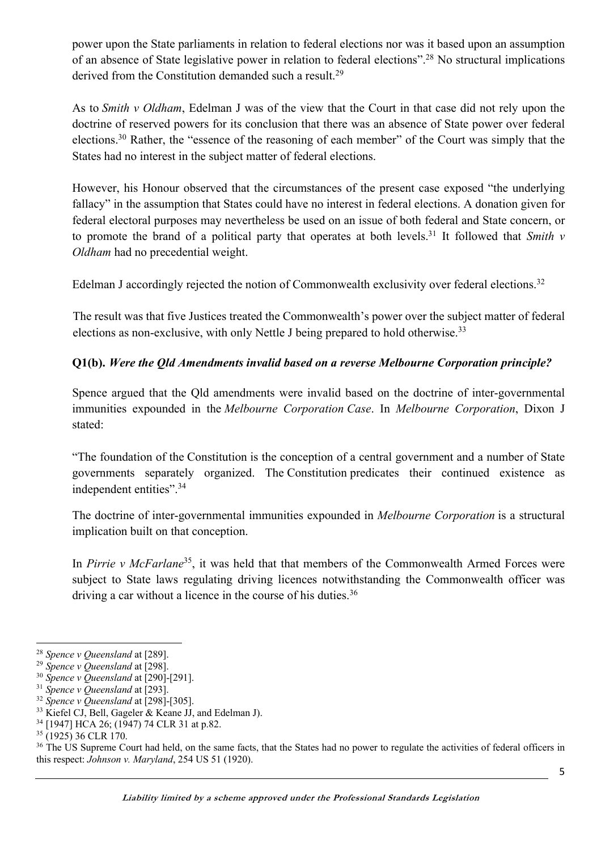power upon the State parliaments in relation to federal elections nor was it based upon an assumption of an absence of State legislative power in relation to federal elections".<sup>28</sup> No structural implications derived from the Constitution demanded such a result.<sup>29</sup>

As to *Smith v Oldham*, Edelman J was of the view that the Court in that case did not rely upon the doctrine of reserved powers for its conclusion that there was an absence of State power over federal elections.<sup>30</sup> Rather, the "essence of the reasoning of each member" of the Court was simply that the States had no interest in the subject matter of federal elections.

However, his Honour observed that the circumstances of the present case exposed "the underlying fallacy" in the assumption that States could have no interest in federal elections. A donation given for federal electoral purposes may nevertheless be used on an issue of both federal and State concern, or to promote the brand of a political party that operates at both levels. <sup>31</sup> It followed that *Smith v Oldham* had no precedential weight.

Edelman J accordingly rejected the notion of Commonwealth exclusivity over federal elections.<sup>32</sup>

The result was that five Justices treated the Commonwealth's power over the subject matter of federal elections as non-exclusive, with only Nettle J being prepared to hold otherwise.<sup>33</sup>

## **Q1(b).** *Were the Qld Amendments invalid based on a reverse Melbourne Corporation principle?*

Spence argued that the Qld amendments were invalid based on the doctrine of inter-governmental immunities expounded in the *Melbourne Corporation Case*. In *Melbourne Corporation*, Dixon J stated:

"The foundation of the Constitution is the conception of a central government and a number of State governments separately organized. The Constitution predicates their continued existence as independent entities".34

The doctrine of inter-governmental immunities expounded in *Melbourne Corporation* is a structural implication built on that conception.

In *Pirrie v McFarlane*35, it was held that that members of the Commonwealth Armed Forces were subject to State laws regulating driving licences notwithstanding the Commonwealth officer was driving a car without a licence in the course of his duties.<sup>36</sup>

<sup>36</sup> The US Supreme Court had held, on the same facts, that the States had no power to regulate the activities of federal officers in this respect: *Johnson v. Maryland*, 254 US 51 (1920).

<sup>28</sup> *Spence v Queensland* at [289].

<sup>29</sup> *Spence v Queensland* at [298].

<sup>30</sup> *Spence v Queensland* at [290]-[291].

<sup>31</sup> *Spence v Queensland* at [293].

<sup>32</sup> *Spence v Queensland* at [298]-[305].

<sup>&</sup>lt;sup>33</sup> Kiefel CJ, Bell, Gageler & Keane JJ, and Edelman J).

<sup>34</sup> [1947] HCA 26; (1947) 74 CLR 31 at p.82.

 $35$  (1925) 36 CLR 170.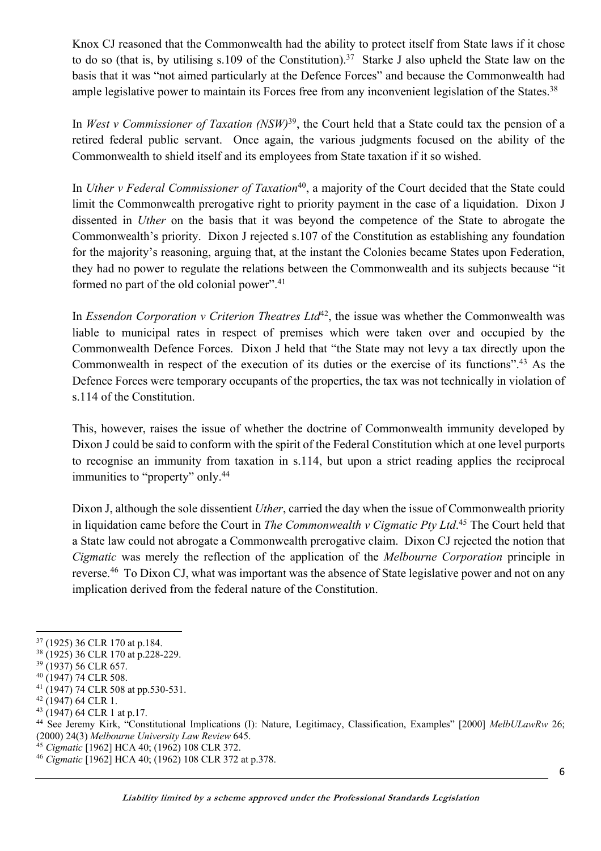Knox CJ reasoned that the Commonwealth had the ability to protect itself from State laws if it chose to do so (that is, by utilising s.109 of the Constitution).<sup>37</sup> Starke J also upheld the State law on the basis that it was "not aimed particularly at the Defence Forces" and because the Commonwealth had ample legislative power to maintain its Forces free from any inconvenient legislation of the States.<sup>38</sup>

In *West v Commissioner of Taxation (NSW)*39, the Court held that a State could tax the pension of a retired federal public servant. Once again, the various judgments focused on the ability of the Commonwealth to shield itself and its employees from State taxation if it so wished.

In *Uther v Federal Commissioner of Taxation*<sup>40</sup>, a majority of the Court decided that the State could limit the Commonwealth prerogative right to priority payment in the case of a liquidation. Dixon J dissented in *Uther* on the basis that it was beyond the competence of the State to abrogate the Commonwealth's priority. Dixon J rejected s.107 of the Constitution as establishing any foundation for the majority's reasoning, arguing that, at the instant the Colonies became States upon Federation, they had no power to regulate the relations between the Commonwealth and its subjects because "it formed no part of the old colonial power".<sup>41</sup>

In *Essendon Corporation v Criterion Theatres Ltd*<sup>42</sup>, the issue was whether the Commonwealth was liable to municipal rates in respect of premises which were taken over and occupied by the Commonwealth Defence Forces. Dixon J held that "the State may not levy a tax directly upon the Commonwealth in respect of the execution of its duties or the exercise of its functions".43 As the Defence Forces were temporary occupants of the properties, the tax was not technically in violation of s.114 of the Constitution.

This, however, raises the issue of whether the doctrine of Commonwealth immunity developed by Dixon J could be said to conform with the spirit of the Federal Constitution which at one level purports to recognise an immunity from taxation in s.114, but upon a strict reading applies the reciprocal immunities to "property" only.44

Dixon J, although the sole dissentient *Uther*, carried the day when the issue of Commonwealth priority in liquidation came before the Court in *The Commonwealth v Cigmatic Pty Ltd*. <sup>45</sup> The Court held that a State law could not abrogate a Commonwealth prerogative claim. Dixon CJ rejected the notion that *Cigmatic* was merely the reflection of the application of the *Melbourne Corporation* principle in reverse.<sup>46</sup> To Dixon CJ, what was important was the absence of State legislative power and not on any implication derived from the federal nature of the Constitution.

<sup>37</sup> (1925) 36 CLR 170 at p.184.

<sup>38</sup> (1925) 36 CLR 170 at p.228-229.

<sup>39</sup> (1937) 56 CLR 657.

<sup>40</sup> (1947) 74 CLR 508.

<sup>41</sup> (1947) 74 CLR 508 at pp.530-531.

<sup>42</sup> (1947) 64 CLR 1.

<sup>43</sup> (1947) 64 CLR 1 at p.17.

<sup>44</sup> See Jeremy Kirk, "Constitutional Implications (I): Nature, Legitimacy, Classification, Examples" [2000] *MelbULawRw* 26; (2000) 24(3) *Melbourne University Law Review* 645.

<sup>45</sup> *Cigmatic* [1962] HCA 40; (1962) 108 CLR 372.

<sup>46</sup> *Cigmatic* [1962] HCA 40; (1962) 108 CLR 372 at p.378.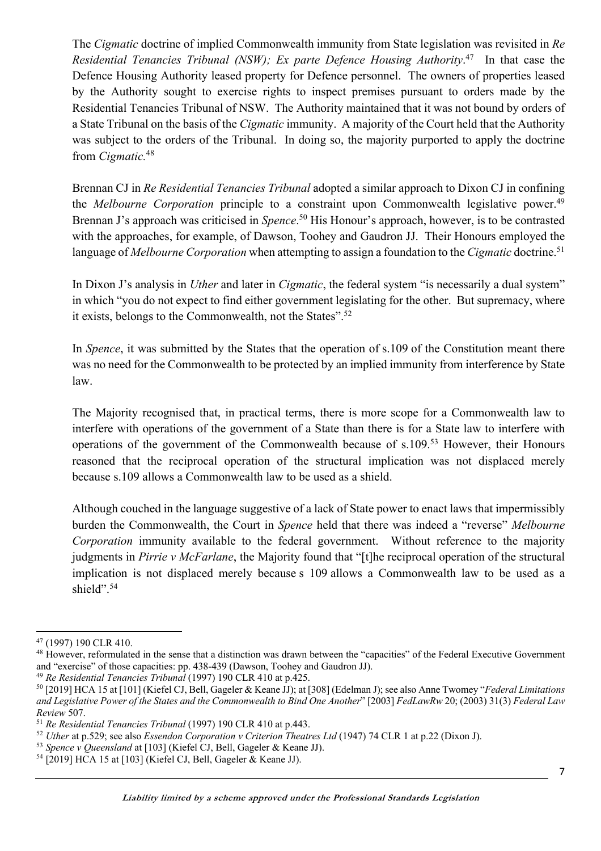The *Cigmatic* doctrine of implied Commonwealth immunity from State legislation was revisited in *Re Residential Tenancies Tribunal (NSW); Ex parte Defence Housing Authority*. 47 In that case the Defence Housing Authority leased property for Defence personnel. The owners of properties leased by the Authority sought to exercise rights to inspect premises pursuant to orders made by the Residential Tenancies Tribunal of NSW. The Authority maintained that it was not bound by orders of a State Tribunal on the basis of the *Cigmatic* immunity. A majority of the Court held that the Authority was subject to the orders of the Tribunal. In doing so, the majority purported to apply the doctrine from *Cigmatic.* 48

Brennan CJ in *Re Residential Tenancies Tribunal* adopted a similar approach to Dixon CJ in confining the *Melbourne Corporation* principle to a constraint upon Commonwealth legislative power. 49 Brennan J's approach was criticised in *Spence*.<sup>50</sup> His Honour's approach, however, is to be contrasted with the approaches, for example, of Dawson, Toohey and Gaudron JJ. Their Honours employed the language of *Melbourne Corporation* when attempting to assign a foundation to the *Cigmatic* doctrine.<sup>51</sup>

In Dixon J's analysis in *Uther* and later in *Cigmatic*, the federal system "is necessarily a dual system" in which "you do not expect to find either government legislating for the other. But supremacy, where it exists, belongs to the Commonwealth, not the States".52

In *Spence*, it was submitted by the States that the operation of s.109 of the Constitution meant there was no need for the Commonwealth to be protected by an implied immunity from interference by State law.

The Majority recognised that, in practical terms, there is more scope for a Commonwealth law to interfere with operations of the government of a State than there is for a State law to interfere with operations of the government of the Commonwealth because of s.109.53 However, their Honours reasoned that the reciprocal operation of the structural implication was not displaced merely because s.109 allows a Commonwealth law to be used as a shield.

Although couched in the language suggestive of a lack of State power to enact laws that impermissibly burden the Commonwealth, the Court in *Spence* held that there was indeed a "reverse" *Melbourne Corporation* immunity available to the federal government. Without reference to the majority judgments in *Pirrie v McFarlane*, the Majority found that "[t]he reciprocal operation of the structural implication is not displaced merely because s 109 allows a Commonwealth law to be used as a shield".<sup>54</sup>

<sup>47</sup> (1997) 190 CLR 410.

<sup>&</sup>lt;sup>48</sup> However, reformulated in the sense that a distinction was drawn between the "capacities" of the Federal Executive Government and "exercise" of those capacities: pp. 438-439 (Dawson, Toohey and Gaudron JJ).

<sup>49</sup> *Re Residential Tenancies Tribunal* (1997) 190 CLR 410 at p.425.

<sup>50</sup> [2019] HCA 15 at [101] (Kiefel CJ, Bell, Gageler & Keane JJ); at [308] (Edelman J); see also Anne Twomey "*Federal Limitations and Legislative Power of the States and the Commonwealth to Bind One Another*" [2003] *FedLawRw* 20; (2003) 31(3) *Federal Law Review* 507.

<sup>51</sup> *Re Residential Tenancies Tribunal* (1997) 190 CLR 410 at p.443.

<sup>52</sup> *Uther* at p.529; see also *Essendon Corporation v Criterion Theatres Ltd* (1947) 74 CLR 1 at p.22 (Dixon J).

<sup>53</sup> *Spence v Queensland* at [103] (Kiefel CJ, Bell, Gageler & Keane JJ).

<sup>54</sup> [2019] HCA 15 at [103] (Kiefel CJ, Bell, Gageler & Keane JJ).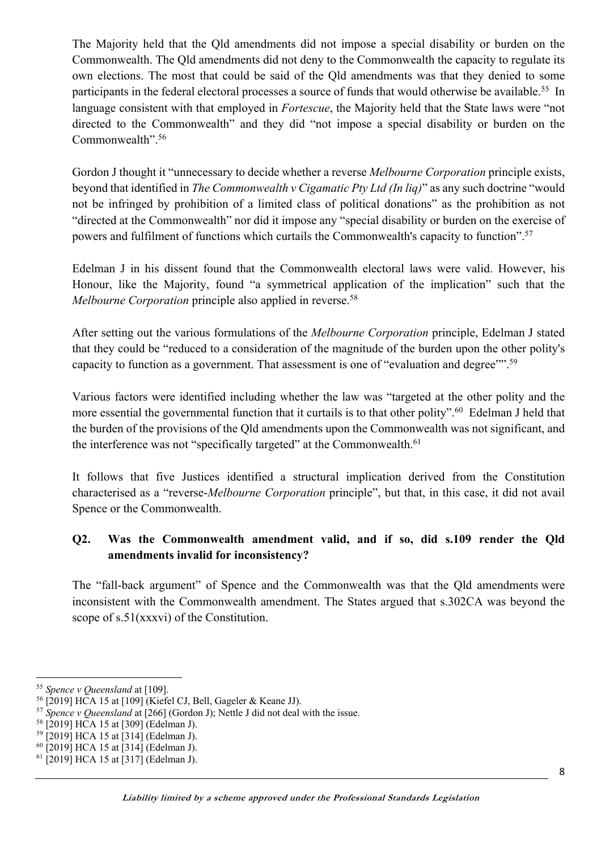The Majority held that the Qld amendments did not impose a special disability or burden on the Commonwealth. The Qld amendments did not deny to the Commonwealth the capacity to regulate its own elections. The most that could be said of the Qld amendments was that they denied to some participants in the federal electoral processes a source of funds that would otherwise be available.<sup>55</sup> In language consistent with that employed in *Fortescue*, the Majority held that the State laws were "not directed to the Commonwealth" and they did "not impose a special disability or burden on the Commonwealth".56

Gordon J thought it "unnecessary to decide whether a reverse *Melbourne Corporation* principle exists, beyond that identified in *The Commonwealth v Cigamatic Pty Ltd (In liq)*" as any such doctrine "would not be infringed by prohibition of a limited class of political donations" as the prohibition as not "directed at the Commonwealth" nor did it impose any "special disability or burden on the exercise of powers and fulfilment of functions which curtails the Commonwealth's capacity to function".57

Edelman J in his dissent found that the Commonwealth electoral laws were valid. However, his Honour, like the Majority, found "a symmetrical application of the implication" such that the *Melbourne Corporation* principle also applied in reverse.<sup>58</sup>

After setting out the various formulations of the *Melbourne Corporation* principle, Edelman J stated that they could be "reduced to a consideration of the magnitude of the burden upon the other polity's capacity to function as a government. That assessment is one of "evaluation and degree"".<sup>59</sup>

Various factors were identified including whether the law was "targeted at the other polity and the more essential the governmental function that it curtails is to that other polity".<sup>60</sup> Edelman J held that the burden of the provisions of the Qld amendments upon the Commonwealth was not significant, and the interference was not "specifically targeted" at the Commonwealth.<sup>61</sup>

It follows that five Justices identified a structural implication derived from the Constitution characterised as a "reverse-*Melbourne Corporation* principle", but that, in this case, it did not avail Spence or the Commonwealth.

# **Q2. Was the Commonwealth amendment valid, and if so, did s.109 render the Qld amendments invalid for inconsistency?**

The "fall-back argument" of Spence and the Commonwealth was that the Qld amendments were inconsistent with the Commonwealth amendment. The States argued that s.302CA was beyond the scope of s.51(xxxvi) of the Constitution.

<sup>55</sup> *Spence v Queensland* at [109].

<sup>56</sup> [2019] HCA 15 at [109] (Kiefel CJ, Bell, Gageler & Keane JJ).

<sup>57</sup> *Spence v Queensland* at [266] (Gordon J); Nettle J did not deal with the issue.

<sup>58</sup> [2019] HCA 15 at [309] (Edelman J).

<sup>59</sup> [2019] HCA 15 at [314] (Edelman J).

<sup>60</sup> [2019] HCA 15 at [314] (Edelman J).

<sup>61</sup> [2019] HCA 15 at [317] (Edelman J).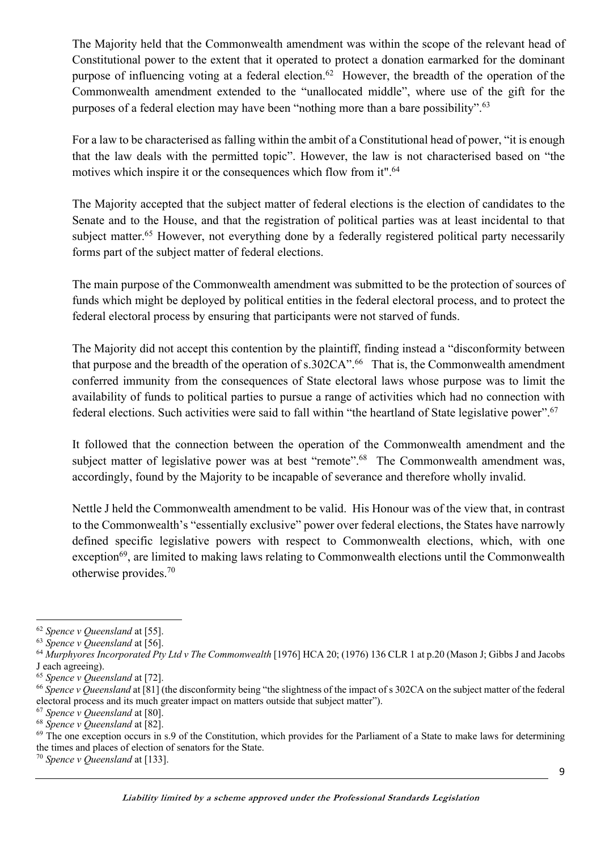The Majority held that the Commonwealth amendment was within the scope of the relevant head of Constitutional power to the extent that it operated to protect a donation earmarked for the dominant purpose of influencing voting at a federal election.<sup>62</sup> However, the breadth of the operation of the Commonwealth amendment extended to the "unallocated middle", where use of the gift for the purposes of a federal election may have been "nothing more than a bare possibility".<sup>63</sup>

For a law to be characterised as falling within the ambit of a Constitutional head of power, "it is enough that the law deals with the permitted topic". However, the law is not characterised based on "the motives which inspire it or the consequences which flow from it".<sup>64</sup>

The Majority accepted that the subject matter of federal elections is the election of candidates to the Senate and to the House, and that the registration of political parties was at least incidental to that subiect matter.<sup>65</sup> However, not everything done by a federally registered political party necessarily forms part of the subject matter of federal elections.

The main purpose of the Commonwealth amendment was submitted to be the protection of sources of funds which might be deployed by political entities in the federal electoral process, and to protect the federal electoral process by ensuring that participants were not starved of funds.

The Majority did not accept this contention by the plaintiff, finding instead a "disconformity between that purpose and the breadth of the operation of s.302CA".<sup>66</sup> That is, the Commonwealth amendment conferred immunity from the consequences of State electoral laws whose purpose was to limit the availability of funds to political parties to pursue a range of activities which had no connection with federal elections. Such activities were said to fall within "the heartland of State legislative power". 67

It followed that the connection between the operation of the Commonwealth amendment and the subject matter of legislative power was at best "remote".<sup>68</sup> The Commonwealth amendment was, accordingly, found by the Majority to be incapable of severance and therefore wholly invalid.

Nettle J held the Commonwealth amendment to be valid. His Honour was of the view that, in contrast to the Commonwealth's "essentially exclusive" power over federal elections, the States have narrowly defined specific legislative powers with respect to Commonwealth elections, which, with one exception<sup>69</sup>, are limited to making laws relating to Commonwealth elections until the Commonwealth otherwise provides.70

<sup>62</sup> *Spence v Queensland* at [55].

<sup>63</sup> *Spence v Queensland* at [56].

<sup>64</sup> *Murphyores Incorporated Pty Ltd v The Commonwealth* [1976] HCA 20; (1976) 136 CLR 1 at p.20 (Mason J; Gibbs J and Jacobs J each agreeing).

<sup>65</sup> *Spence v Queensland* at [72].

<sup>66</sup> *Spence v Queensland* at [81] (the disconformity being "the slightness of the impact of s 302CA on the subject matter of the federal electoral process and its much greater impact on matters outside that subject matter").

<sup>67</sup> *Spence v Queensland* at [80].

<sup>68</sup> *Spence v Queensland* at [82].

 $69$  The one exception occurs in s.9 of the Constitution, which provides for the Parliament of a State to make laws for determining the times and places of election of senators for the State.

<sup>70</sup> *Spence v Queensland* at [133].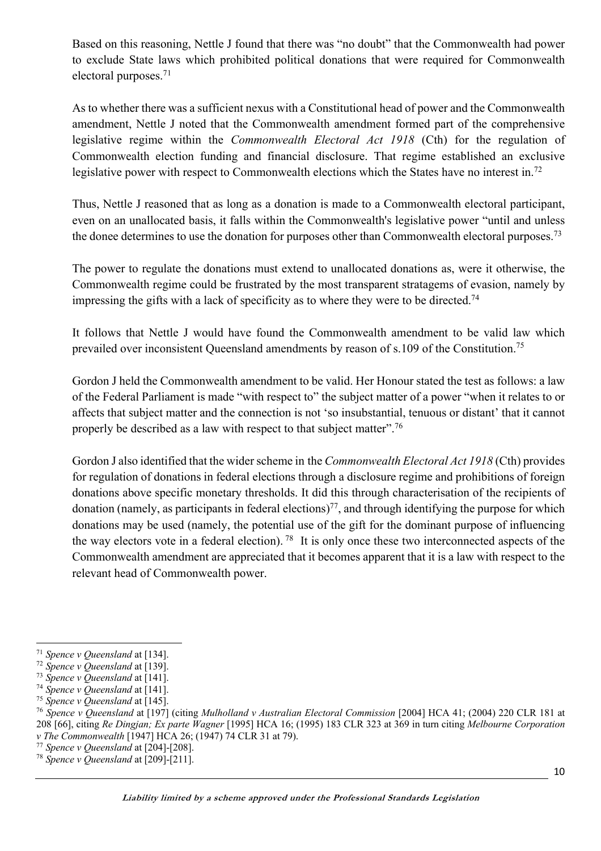Based on this reasoning, Nettle J found that there was "no doubt" that the Commonwealth had power to exclude State laws which prohibited political donations that were required for Commonwealth electoral purposes.71

As to whether there was a sufficient nexus with a Constitutional head of power and the Commonwealth amendment, Nettle J noted that the Commonwealth amendment formed part of the comprehensive legislative regime within the *Commonwealth Electoral Act 1918* (Cth) for the regulation of Commonwealth election funding and financial disclosure. That regime established an exclusive legislative power with respect to Commonwealth elections which the States have no interest in.<sup>72</sup>

Thus, Nettle J reasoned that as long as a donation is made to a Commonwealth electoral participant, even on an unallocated basis, it falls within the Commonwealth's legislative power "until and unless the donee determines to use the donation for purposes other than Commonwealth electoral purposes.<sup>73</sup>

The power to regulate the donations must extend to unallocated donations as, were it otherwise, the Commonwealth regime could be frustrated by the most transparent stratagems of evasion, namely by impressing the gifts with a lack of specificity as to where they were to be directed.74

It follows that Nettle J would have found the Commonwealth amendment to be valid law which prevailed over inconsistent Queensland amendments by reason of s.109 of the Constitution.75

Gordon J held the Commonwealth amendment to be valid. Her Honour stated the test as follows: a law of the Federal Parliament is made "with respect to" the subject matter of a power "when it relates to or affects that subject matter and the connection is not 'so insubstantial, tenuous or distant' that it cannot properly be described as a law with respect to that subject matter".76

Gordon J also identified that the wider scheme in the *Commonwealth Electoral Act 1918* (Cth) provides for regulation of donations in federal elections through a disclosure regime and prohibitions of foreign donations above specific monetary thresholds. It did this through characterisation of the recipients of donation (namely, as participants in federal elections)<sup>77</sup>, and through identifying the purpose for which donations may be used (namely, the potential use of the gift for the dominant purpose of influencing the way electors vote in a federal election). <sup>78</sup> It is only once these two interconnected aspects of the Commonwealth amendment are appreciated that it becomes apparent that it is a law with respect to the relevant head of Commonwealth power.

<sup>71</sup> *Spence v Queensland* at [134].

<sup>72</sup> *Spence v Queensland* at [139].

<sup>73</sup> *Spence v Queensland* at [141].

<sup>74</sup> *Spence v Queensland* at [141].

<sup>75</sup> *Spence v Queensland* at [145].

<sup>76</sup> *Spence v Queensland* at [197] (citing *Mulholland v Australian Electoral Commission* [2004] HCA 41; (2004) 220 CLR 181 at 208 [66], citing *Re Dingjan; Ex parte Wagner* [1995] HCA 16; (1995) 183 CLR 323 at 369 in turn citing *Melbourne Corporation v The Commonwealth* [1947] HCA 26; (1947) 74 CLR 31 at 79).

<sup>77</sup> *Spence v Queensland* at [204]-[208].

<sup>78</sup> *Spence v Queensland* at [209]-[211].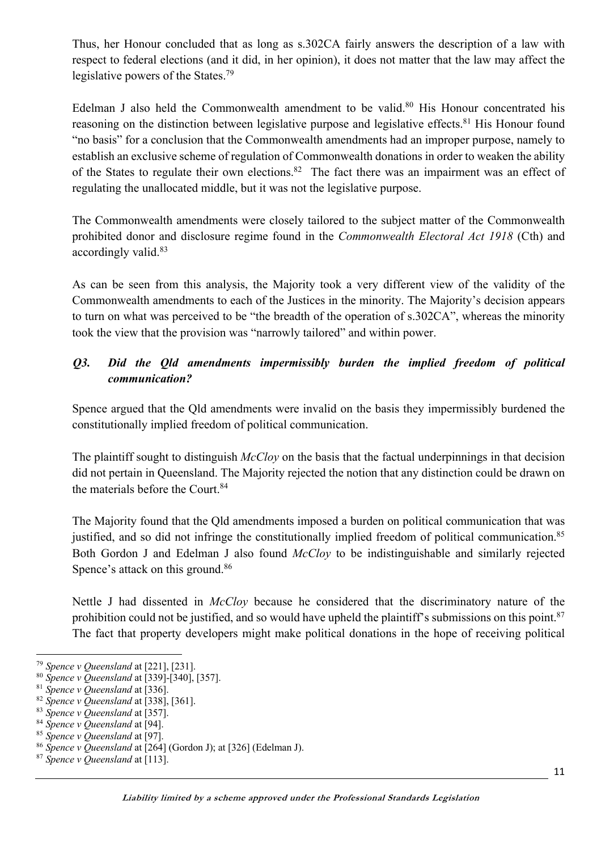Thus, her Honour concluded that as long as s.302CA fairly answers the description of a law with respect to federal elections (and it did, in her opinion), it does not matter that the law may affect the legislative powers of the States.<sup>79</sup>

Edelman J also held the Commonwealth amendment to be valid.<sup>80</sup> His Honour concentrated his reasoning on the distinction between legislative purpose and legislative effects.<sup>81</sup> His Honour found "no basis" for a conclusion that the Commonwealth amendments had an improper purpose, namely to establish an exclusive scheme of regulation of Commonwealth donations in order to weaken the ability of the States to regulate their own elections.<sup>82</sup> The fact there was an impairment was an effect of regulating the unallocated middle, but it was not the legislative purpose.

The Commonwealth amendments were closely tailored to the subject matter of the Commonwealth prohibited donor and disclosure regime found in the *Commonwealth Electoral Act 1918* (Cth) and accordingly valid.<sup>83</sup>

As can be seen from this analysis, the Majority took a very different view of the validity of the Commonwealth amendments to each of the Justices in the minority. The Majority's decision appears to turn on what was perceived to be "the breadth of the operation of s.302CA", whereas the minority took the view that the provision was "narrowly tailored" and within power.

# *Q3. Did the Qld amendments impermissibly burden the implied freedom of political communication?*

Spence argued that the Qld amendments were invalid on the basis they impermissibly burdened the constitutionally implied freedom of political communication.

The plaintiff sought to distinguish *McCloy* on the basis that the factual underpinnings in that decision did not pertain in Queensland. The Majority rejected the notion that any distinction could be drawn on the materials before the Court.<sup>84</sup>

The Majority found that the Qld amendments imposed a burden on political communication that was justified, and so did not infringe the constitutionally implied freedom of political communication.<sup>85</sup> Both Gordon J and Edelman J also found *McCloy* to be indistinguishable and similarly rejected Spence's attack on this ground.<sup>86</sup>

Nettle J had dissented in *McCloy* because he considered that the discriminatory nature of the prohibition could not be justified, and so would have upheld the plaintiff's submissions on this point.  $87$ The fact that property developers might make political donations in the hope of receiving political

<sup>87</sup> *Spence v Queensland* at [113].

<sup>79</sup> *Spence v Queensland* at [221], [231].

<sup>80</sup> *Spence v Queensland* at [339]-[340], [357].

<sup>81</sup> *Spence v Queensland* at [336].

<sup>82</sup> *Spence v Queensland* at [338], [361].

<sup>83</sup> *Spence v Queensland* at [357].

<sup>84</sup> *Spence v Queensland* at [94].

<sup>85</sup> *Spence v Queensland* at [97].

<sup>86</sup> *Spence v Queensland* at [264] (Gordon J); at [326] (Edelman J).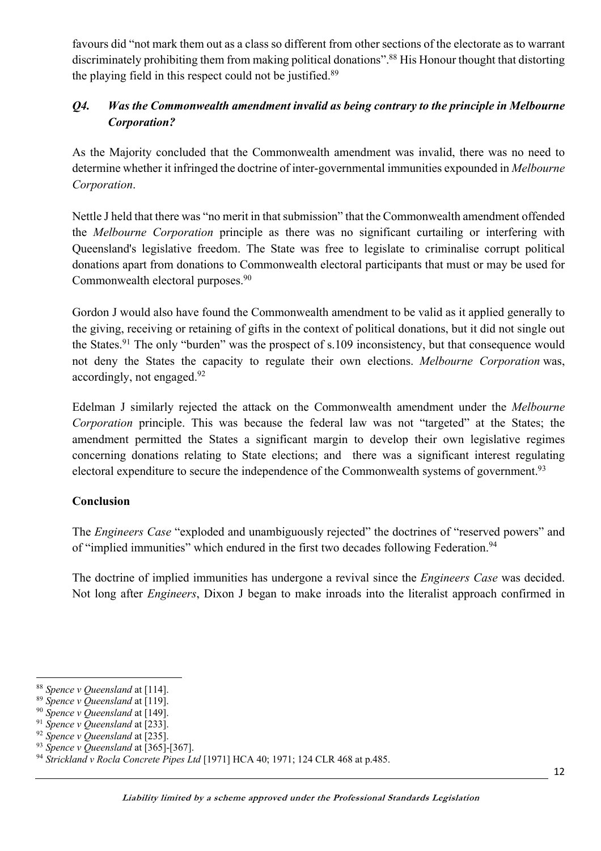favours did "not mark them out as a class so different from other sections of the electorate as to warrant discriminately prohibiting them from making political donations".<sup>88</sup> His Honour thought that distorting the playing field in this respect could not be justified.89

# *Q4. Was the Commonwealth amendment invalid as being contrary to the principle in Melbourne Corporation?*

As the Majority concluded that the Commonwealth amendment was invalid, there was no need to determine whether it infringed the doctrine of inter-governmental immunities expounded in *Melbourne Corporation*.

Nettle J held that there was "no merit in that submission" that the Commonwealth amendment offended the *Melbourne Corporation* principle as there was no significant curtailing or interfering with Queensland's legislative freedom. The State was free to legislate to criminalise corrupt political donations apart from donations to Commonwealth electoral participants that must or may be used for Commonwealth electoral purposes.<sup>90</sup>

Gordon J would also have found the Commonwealth amendment to be valid as it applied generally to the giving, receiving or retaining of gifts in the context of political donations, but it did not single out the States.<sup>91</sup> The only "burden" was the prospect of s.109 inconsistency, but that consequence would not deny the States the capacity to regulate their own elections. *Melbourne Corporation* was, accordingly, not engaged.<sup>92</sup>

Edelman J similarly rejected the attack on the Commonwealth amendment under the *Melbourne Corporation* principle. This was because the federal law was not "targeted" at the States; the amendment permitted the States a significant margin to develop their own legislative regimes concerning donations relating to State elections; and there was a significant interest regulating electoral expenditure to secure the independence of the Commonwealth systems of government.<sup>93</sup>

## **Conclusion**

The *Engineers Case* "exploded and unambiguously rejected" the doctrines of "reserved powers" and of "implied immunities" which endured in the first two decades following Federation.<sup>94</sup>

The doctrine of implied immunities has undergone a revival since the *Engineers Case* was decided. Not long after *Engineers*, Dixon J began to make inroads into the literalist approach confirmed in

<sup>88</sup> *Spence v Queensland* at [114].

<sup>89</sup> *Spence v Queensland* at [119].

<sup>90</sup> *Spence v Queensland* at [149].

<sup>91</sup> *Spence v Queensland* at [233].

<sup>92</sup> *Spence v Queensland* at [235].

<sup>93</sup> *Spence v Queensland* at [365]-[367].

<sup>94</sup> *Strickland v Rocla Concrete Pipes Ltd* [1971] HCA 40; 1971; 124 CLR 468 at p.485.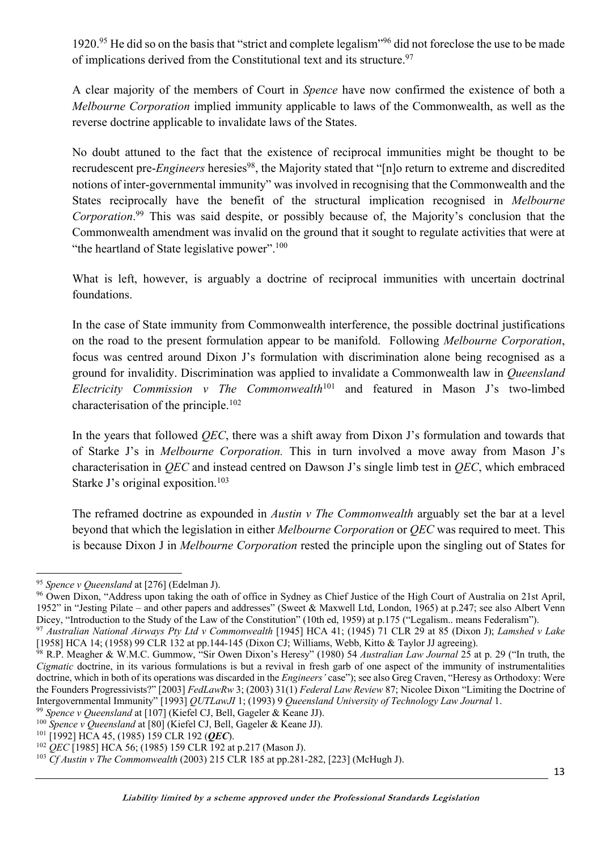1920.95 He did so on the basis that "strict and complete legalism"96 did not foreclose the use to be made of implications derived from the Constitutional text and its structure.<sup>97</sup>

A clear majority of the members of Court in *Spence* have now confirmed the existence of both a *Melbourne Corporation* implied immunity applicable to laws of the Commonwealth, as well as the reverse doctrine applicable to invalidate laws of the States.

No doubt attuned to the fact that the existence of reciprocal immunities might be thought to be recrudescent pre-*Engineers* heresies<sup>98</sup>, the Majority stated that "[n]o return to extreme and discredited notions of inter-governmental immunity" was involved in recognising that the Commonwealth and the States reciprocally have the benefit of the structural implication recognised in *Melbourne Corporation*. <sup>99</sup> This was said despite, or possibly because of, the Majority's conclusion that the Commonwealth amendment was invalid on the ground that it sought to regulate activities that were at "the heartland of State legislative power".<sup>100</sup>

What is left, however, is arguably a doctrine of reciprocal immunities with uncertain doctrinal foundations.

In the case of State immunity from Commonwealth interference, the possible doctrinal justifications on the road to the present formulation appear to be manifold. Following *Melbourne Corporation*, focus was centred around Dixon J's formulation with discrimination alone being recognised as a ground for invalidity. Discrimination was applied to invalidate a Commonwealth law in *Queensland Electricity Commission v The Commonwealth*<sup>101</sup> and featured in Mason J's two-limbed characterisation of the principle.102

In the years that followed *QEC*, there was a shift away from Dixon J's formulation and towards that of Starke J's in *Melbourne Corporation.* This in turn involved a move away from Mason J's characterisation in *QEC* and instead centred on Dawson J's single limb test in *QEC*, which embraced Starke J's original exposition.<sup>103</sup>

The reframed doctrine as expounded in *Austin v The Commonwealth* arguably set the bar at a level beyond that which the legislation in either *Melbourne Corporation* or *QEC* was required to meet. This is because Dixon J in *Melbourne Corporation* rested the principle upon the singling out of States for

<sup>95</sup> *Spence v Queensland* at [276] (Edelman J).

<sup>&</sup>lt;sup>96</sup> Owen Dixon, "Address upon taking the oath of office in Sydney as Chief Justice of the High Court of Australia on 21st April, 1952" in "Jesting Pilate – and other papers and addresses" (Sweet & Maxwell Ltd, London, 1965) at p.247; see also Albert Venn Dicey, "Introduction to the Study of the Law of the Constitution" (10th ed, 1959) at p.175 ("Legalism.. means Federalism").

<sup>97</sup> *Australian National Airways Pty Ltd v Commonwealth* [1945] HCA 41; (1945) 71 CLR 29 at 85 (Dixon J); *Lamshed v Lake*  [1958] HCA 14; (1958) 99 CLR 132 at pp.144-145 (Dixon CJ; Williams, Webb, Kitto & Taylor JJ agreeing).<br><sup>98</sup> R.P. Meagher & W.M.C. Gummow, "Sir Owen Dixon's Heresy" (1980) 54 Australian Law Journal 25 at p. 29 ("In truth, t

*Cigmatic* doctrine, in its various formulations is but a revival in fresh garb of one aspect of the immunity of instrumentalities doctrine, which in both of its operations was discarded in the *Engineers'* case"); see also Greg Craven, "Heresy as Orthodoxy: Were the Founders Progressivists?" [2003] *FedLawRw* 3; (2003) 31(1) *Federal Law Review* 87; Nicolee Dixon "Limiting the Doctrine of Intergovernmental Immunity" [1993] *QUTLawJI* 1; (1993) 9 *Queensland University of Technology Law Journal* 1.

<sup>99</sup> *Spence v Queensland* at [107] (Kiefel CJ, Bell, Gageler & Keane JJ).

<sup>&</sup>lt;sup>100</sup> Spence v Queensland at [80] (Kiefel CJ, Bell, Gageler & Keane JJ).

<sup>101</sup> [1992] HCA 45, (1985) 159 CLR 192 (*QEC*).

<sup>102</sup> *QEC* [1985] HCA 56; (1985) 159 CLR 192 at p.217 (Mason J).

<sup>103</sup> *Cf Austin v The Commonwealth* (2003) 215 CLR 185 at pp.281-282, [223] (McHugh J).